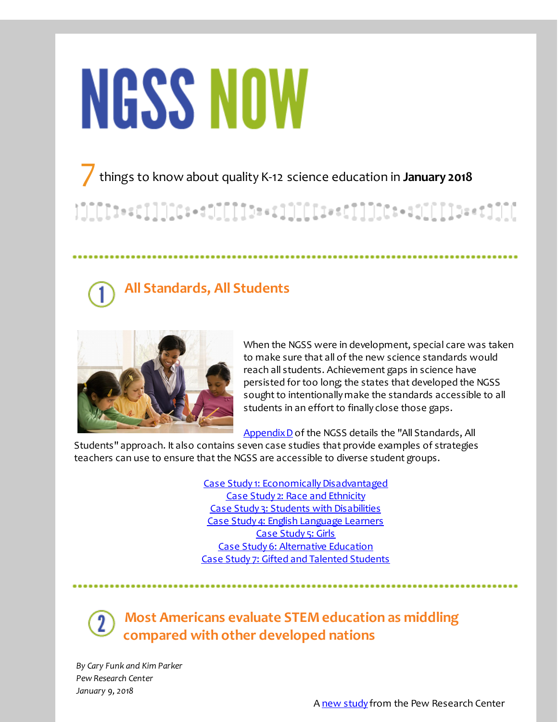# **NGSS NOW**

7things to know about quality K-12 science education in **January <sup>2018</sup>**

}][[[]}==c]]][[C:+d][[[[]}==c]][[[I:==c]]][[c:+d1[[[]]}==c]][[

## **All Standards, All Students**



When the NGSS were in development, special care was taken to make sure that all of the new science standards would reach all students. Achievement gaps in science have persisted for too long; the states that developed the NGSS sought to intentionally make the standards accessible to all students in an effort to finally close those gaps.

[AppendixD](http://r20.rs6.net/tn.jsp?f=001SdQ05ytNxVJ9-rkkgISJ6P5E6cAklZ_mc8EUiTgNR4KYwcCjT6afICg2bvUz_S1cJR29VJtxtYVyyv-DCia5SgI7F4R-wamc0MCjgfRUF6Mld2eapnkvHYYjrC9g-agikduagD91R7VgCZ7rimyaA7B73ccKa9zBz5jvDVOrfnMtQOgGAUUi4s4jjvORJydgeeT8A2BM8cfos3adkOVPYU0D1ByRVlxyQjK-dEArKfmasV32mE6GstJO3XsibZQ4JfDPaFysHftOYECRXzJPQ9wW6a5_elifW8awtpY7xwk=&c=&ch=) of the NGSS details the "All Standards, All

Students" approach. It also contains seven case studies that provide examples of strategies teachers can use to ensure that the NGSS are accessible to diverse student groups.

> Case Study 1: Economically Disadvantaged Case Study 2: Race and [Ethnicity](http://r20.rs6.net/tn.jsp?f=001SdQ05ytNxVJ9-rkkgISJ6P5E6cAklZ_mc8EUiTgNR4KYwcCjT6afICg2bvUz_S1cPtLyCtU6juX6JVeWKjwIS3t-9RWJBE_w379cbOSzpOm6avx40Yck-lguQZBGAxjqD91aaHTNJdvsXm7PSbIFywGTfQt5sD23mK6cOJL9OjKnM2-uS3cAS8G4H3NuXn3jYYrZJVpGxqnBdUVhiYEeDVz3aDdzZuNpxu9JmpxXZhENkN_3uQquasePNIfQ022o1Fqxe0JP2a25_jdJqctRcLqnpazkJJBvC4CNcDAEu2w4MxbWUorFAL_qGgfzDRZH&c=&ch=) Case Study 3: Students with [Disabilities](http://r20.rs6.net/tn.jsp?f=001SdQ05ytNxVJ9-rkkgISJ6P5E6cAklZ_mc8EUiTgNR4KYwcCjT6afICg2bvUz_S1cBBSWGTbqzy4V9IAsJ4TI7HbbJfEuquUbpU0HRQerJ0808KZAPn26Zlh7jdxsaW9ahRxP5H6Qz-qzhth8-isApU8pGEyfTN24qd3SrOPOzDLpeoNyM2ngCY-d5WIgvyBbf7JflIG6ljkeyINQNnNCw58tWhBWDhwWxjuXcSpMXLGidZePq5UUkqO3zJk1svjihaKO-4aPOauTxJMySOag5uD_dp_05Jo-_1tYdyRx_jWEexASAkJ3zA==&c=&ch=) Case Study 4: English [Language](http://r20.rs6.net/tn.jsp?f=001SdQ05ytNxVJ9-rkkgISJ6P5E6cAklZ_mc8EUiTgNR4KYwcCjT6afICg2bvUz_S1cYgOS4OTHaCNAMZ4f4cwtOrjfHwsplOSfk23Z9JXv0FQLRXTE50NGOUiCgg3I6GmdUXEvd7J0jHCZXzuAIHR-WJNr7ojI5aBm7e7zm0Xrr3VReHJkxySw2n4VC4cGtVre6l1N_SQFpfWw_fEYL1V8yLn2qTRUrXiyMKm1KJKkECf71oD0GulnUsKd15MjWggJbu_7kgqV2zlbK9ei0cGYN6UR8aXhZqk9&c=&ch=) Learners Case [Study](http://r20.rs6.net/tn.jsp?f=001SdQ05ytNxVJ9-rkkgISJ6P5E6cAklZ_mc8EUiTgNR4KYwcCjT6afICg2bvUz_S1cbwmDMEwC-eVbtRhV9rGVMF19sKPSEYdzQnF7lnSygN_qIJGBFHPaogck-Uxf7wAGDet2Eq7ujNBCgGLKgi9rWEa2ZV-gigXPaLVCC2YySr98mVS35BIgZ-LCiE6CqjXZw1WuCi7kcMsTTpdwUxVE3Rl4hcKvjE1S-G75TVfS75Ob-2jCzHQgOYdZoWcTHtnYL9F17fWJ5gTYniGypZkXt8DEMOtcvanr&c=&ch=) 5: Girls Case Study 6: [Alternative](http://r20.rs6.net/tn.jsp?f=001SdQ05ytNxVJ9-rkkgISJ6P5E6cAklZ_mc8EUiTgNR4KYwcCjT6afICg2bvUz_S1c0T8qeRqWuogEWw3JKo-uddLK1_kepN_I7cZI7rtl32RdqdiPYgc0A1mWRAaHeKkITzl_Udr4h0duBEokCVIDtzNDXUpKXgMwDnJKyHXmKjGFPQLnkz8faQWvKqvf3ANI3HGO9iwuFpnV188uXwSfm7v4B9SihHxnLzRiSjlTFsSmtUcPVsl4PyevDSsmu4s52ZP23Y2YtsCpF0grwOlN-bliRL_WP8GsJi8x8U9zG7Twp8Ou4dSXHi2-F1FA02rv&c=&ch=) Education Case Study 7: Gifted and Talented [Students](http://r20.rs6.net/tn.jsp?f=001SdQ05ytNxVJ9-rkkgISJ6P5E6cAklZ_mc8EUiTgNR4KYwcCjT6afICg2bvUz_S1cIORLcEhBE2HtPVpXkbVy-1-rRQ8LZG6F2K4wCTjgYggX5A1OsyO_kHhsjdDDNChX_lW0LbS91cHoAA_7uFDg1o9AzxzNL-a_TldG79KF7mIqDa_R5GDk4kbTwIxAjOBVSUTZhEyksnDKEdGYKi44AWkowIKZVPPtEAFcvMIbxbxmSBSboRkNHuEIr-EbwmLxV_OsEmPiNRw5rDsFbxCU93KwtGDxrWhc&c=&ch=)

**Most Americans evaluate STEM education as middling compared with other developed nations**

*By Cary Funk and Kim Parker Pew Research Center January 9, 2018*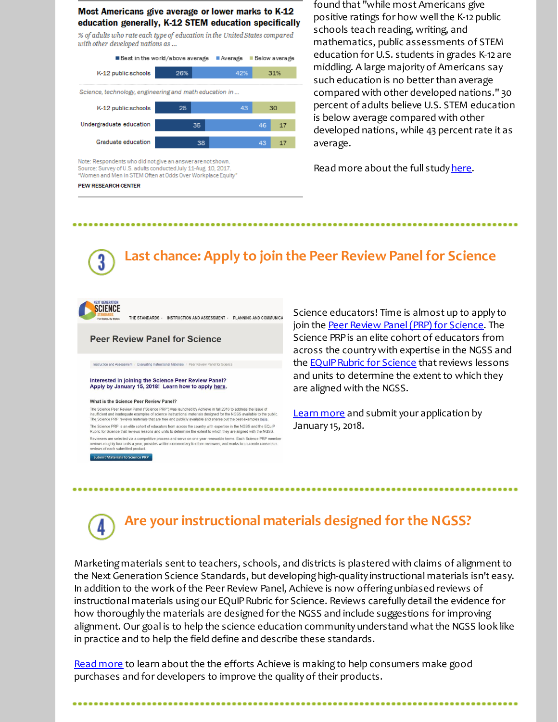### Most Americans give average or lower marks to K-12 education generally, K-12 STEM education specifically

% of adults who rate each type of education in the United States compared with other developed nations as ...



Note: Respondents who did not give an answer are not shown Source: Survey of U.S. adults conducted July 11-Aug. 10, 2017 "Women and Men in STEM Often at Odds Over Workplace Equity"

#### **PEW RESEARCH CENTER**

found that "while most Americans give positive ratings for how well the K-12 public schools teach reading, writing, and mathematics, public assessments of STEM education for U.S. students in grades K-12 are middling. A large majority of Americans say such education is no better than average compared with other developed nations." 30 percent of adults believe U.S. STEM education is below average compared with other developed nations, while 43 percent rate it as average.

Read more about the full study [here](http://r20.rs6.net/tn.jsp?f=001SdQ05ytNxVJ9-rkkgISJ6P5E6cAklZ_mc8EUiTgNR4KYwcCjT6afICg2bvUz_S1crE6Ff93Tu3Yo79thkgR3DEouXeaLRXub1DamwWcbxGw464rya7tF1UHBv1cdVjBLmDcCkPqGt6b7tcCowAJ53HhepGrPBcTBvCMjlmOHFjG5O9BSPFynxthMnuHvTiddqb-O8aqBl6YS6XRrJWXC7y6OMByHjeigEXYZN2C0nJd_zqA07lTCwcAWqubjaXLpSWIMqXeD24CSxGR7-j7wsH42c9ETAbd_FKlC4iZuEoLAEz3yYYUS-cmHVOT2EeK34Dgu7WxCa5Q=&c=&ch=).

## **Last chance: Apply to join the Peer Review Panelfor Science**



THE STANDARDS - INSTRUCTION AND ASSESSMENT - PLANNING AND COMMUNICA

**Peer Review Panel for Science** 

tion and Assessment | Evaluating Instructional Materials | Peer R

## Interested in joining the Science Peer Review Panel?<br>Apply by January 15, 2018! Learn how to apply here.

#### What is the Science Peer Review Panel?

The Science Peer Review Panel ("Science PRP") was launched by Achieve in fall 2016 to address the issue of<br>insulficient and inadequate examples of science instructional materials designed for the NGSS available to the publ The Science PRP is an elite cohort of educators from across the country with expertise in the NGSS and the EQuIP<br>Rubric for Science that reviews lessons and units to determine the extent to which they are aligned with the Reviewers are selected via a competitive process and serve on one year renewable terms. Each Science PRP member reviews roughly four units a year, provides written commentary to other reviewers, and works to co-create consensi-

Submit Materials to Science PRP

Science educators! Time is almost up to apply to join the Peer Review [Panel\(PRP\)](http://r20.rs6.net/tn.jsp?f=001SdQ05ytNxVJ9-rkkgISJ6P5E6cAklZ_mc8EUiTgNR4KYwcCjT6afINRf7SGdyqlnjW8dj8IcA2pDxYP9yv02kPRXYuvfKhm_bFKwvStKK_yrmtjZCcxrun3hgixiRej9ZqYE_Z7yTAEz-2auzEqmFo6uirFmK16wuEuzMXSLkzjJkObwXgn_qeZcOVV4zmdmDKPGOuML3m8cTZXVuCfkuuYHsDkoWtFbodyCYC1RGPY22wRtw4NoRw==&c=&ch=) for Science. The Science PRPis an elite cohort of educators from across the countrywith expertise in the NGSS and the **EQuIP Rubric for Science** that reviews lessons and units to determine the extent to which they are aligned with the NGSS.

.............................

[Learn](http://r20.rs6.net/tn.jsp?f=001SdQ05ytNxVJ9-rkkgISJ6P5E6cAklZ_mc8EUiTgNR4KYwcCjT6afINRf7SGdyqlnjW8dj8IcA2pDxYP9yv02kPRXYuvfKhm_bFKwvStKK_yrmtjZCcxrun3hgixiRej9ZqYE_Z7yTAEz-2auzEqmFo6uirFmK16wuEuzMXSLkzjJkObwXgn_qeZcOVV4zmdmDKPGOuML3m8cTZXVuCfkuuYHsDkoWtFbodyCYC1RGPY22wRtw4NoRw==&c=&ch=) more and submit your application by January 15, 2018.

# **Are yourinstructional materials designed forthe NGSS?**

Marketing materials sent to teachers, schools, and districts is plastered with claims of alignment to the Next Generation Science Standards, but developing high-quality instructional materials isn't easy. In addition to the work of the Peer Review Panel, Achieve is now offeringunbiased reviews of instructional materials using our EQuIP Rubric for Science. Reviews carefully detail the evidence for how thoroughly the materials are designed for the NGSS and include suggestions for improving alignment. Our goal is to help the science education community understand what the NGSS look like in practice and to help the field define and describe these standards.

Read [more](http://r20.rs6.net/tn.jsp?f=001SdQ05ytNxVJ9-rkkgISJ6P5E6cAklZ_mc8EUiTgNR4KYwcCjT6afICg2bvUz_S1cEOyWgikvUKLCVmfu6903JjbxT-PWoAFPwB3svNiZfoBd7GsnQYkwx5xwZXc1G9hoX5cjZhEAkxTjXPRHqUPl3UwbquCNmXMwtNJISs69D51-TuUL5WmLyaR6NCNZjrYt85X_EpwQcnx2FtTiSaZPT8O_g6dPZeS56_etdd7HwZxcQl6EzzFR0Ia0D-n1RtgioR_MJF0CDQiLcc9iqoTD9w==&c=&ch=) to learn about the the efforts Achieve is making to help consumers make good purchases and for developers to improve the quality of their products.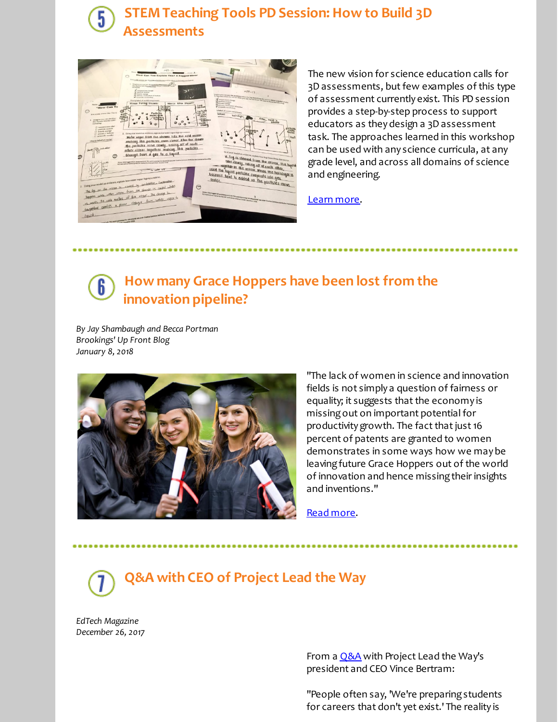## **STEM Teaching Tools PD Session: How to Build 3D Assessments**



The new vision for science education calls for 3D assessments, butfew examples of this type of assessment currently exist. This PD session provides a step-by-step process to support educators as they design a 3D assessment task. The approaches learned in this workshop can be used with any science curricula, at any grade level, and across all domains of science and engineering.

[Learn](http://r20.rs6.net/tn.jsp?f=001SdQ05ytNxVJ9-rkkgISJ6P5E6cAklZ_mc8EUiTgNR4KYwcCjT6afICg2bvUz_S1cpHQ0DYU773HsiR9ONJXaOBbh3YIHx4dz_W9jAGAJ-5f-mgkTeBd1zh8XOyjO8X4Yneolw9UGBmNdvJssIotW60tqmipy3Pk3Rohi4VMPAh-UwlJRRNeFpYlzKpqeBlWzJzvvmo-W1yQ=&c=&ch=) more.

### **How many Grace Hoppers have been lost from the** 6 **innovation pipeline?**

*By Jay Shambaugh and Becca Portman Brookings' Up Front Blog January 8, 2018*



"The lack of women in science and innovation fields is not simply a question of fairness or equality; it suggests that the economy is missingout on important potential for productivity growth. The fact that just 16 percent of patents are granted to women demonstrates in some ways how we may be leaving future Grace Hoppers out of the world of innovation and hence missing their insights and inventions."

Read [more](http://r20.rs6.net/tn.jsp?f=001SdQ05ytNxVJ9-rkkgISJ6P5E6cAklZ_mc8EUiTgNR4KYwcCjT6afICg2bvUz_S1c4mNfAQolmwQajZdsPMFj5t6i9Xq9_H-Y5USavjT_9Hutg82Is23l4G9jilJ62A6UpkYs-M6a1p8mqktXVRV90C_DjFRW4-HDBTrydLi8u3DKrC8MU1dJQKIb9atimWpUPHAcDn4i_DO3j6niRY_Q9tiLJI5IYI99G7Yk1FtbvfN9H8vT91_NqIzw2Rz-Ze_8zzX8O0t0UiXM5LjYp_qc1ijYsVxpbh-5ZzjgboKUk-4ap6k1Ti083eSnGis-38-j&c=&ch=).

**Q&A with CEO of Project Lead the Way**

*EdTech Magazine December 26, 2017*

> From a **[Q&A](http://r20.rs6.net/tn.jsp?f=001SdQ05ytNxVJ9-rkkgISJ6P5E6cAklZ_mc8EUiTgNR4KYwcCjT6afICg2bvUz_S1cXprTWJD2fpCuDhzUowuvX3vB7VdQ9-8VQNIDS_fbCzTv76PB_CSt5kU5mxtzDhgvq0WobBtbANqzDVEoDI3IbCPPOlU2enmf5ZNMaIkD3KD3LQzpAH5T5BB_iNuQrT_7g53R8V9HUizzIzqPOxHZMR9ImLuWd7o9S8VAZsDRGn1d7T7dhVCpbHvUTwC9Y8VAC_dHTkcZ9rnZNTw932i0dw==&c=&ch=)** with Project Lead the Way's president and CEO Vince Bertram:

"People often say, 'We're preparing students for careers that don't yet exist.' The reality is